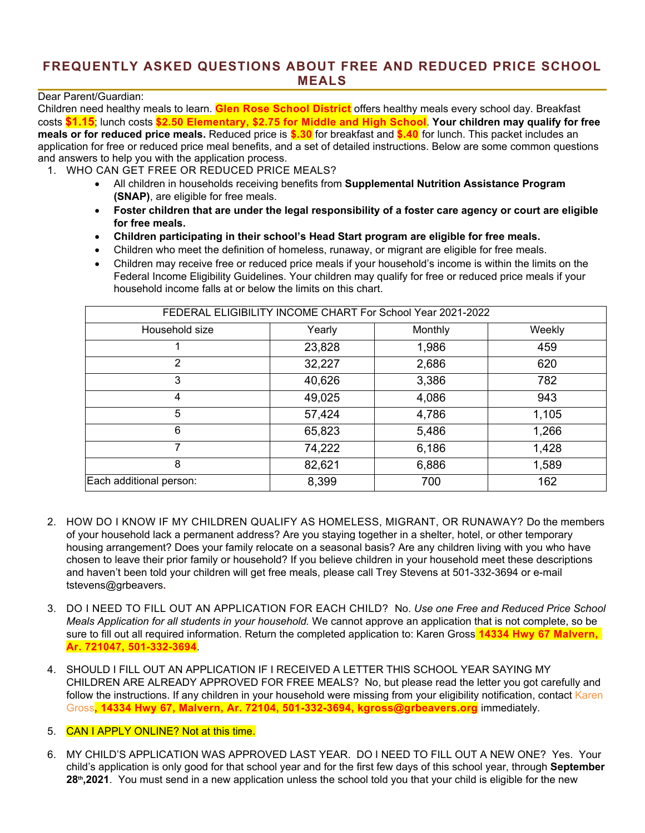### **FREQUENTLY ASKED QUESTIONS ABOUT FREE AND REDUCED PRICE SCHOOL MEALS**

Dear Parent/Guardian:

Children need healthy meals to learn. **Glen Rose School District** offers healthy meals every school day. Breakfast costs **\$1.15**; lunch costs **\$2.50 Elementary, \$2.75 for Middle and High School**. **Your children may qualify for free meals or for reduced price meals.** Reduced price is **\$.30** for breakfast and **\$.40** for lunch. This packet includes an application for free or reduced price meal benefits, and a set of detailed instructions. Below are some common questions and answers to help you with the application process.

- 1. WHO CAN GET FREE OR REDUCED PRICE MEALS?
	- All children in households receiving benefits from **Supplemental Nutrition Assistance Program (SNAP)**, are eligible for free meals.
	- **Foster children that are under the legal responsibility of a foster care agency or court are eligible for free meals.**
	- **Children participating in their school's Head Start program are eligible for free meals.**
	- Children who meet the definition of homeless, runaway, or migrant are eligible for free meals.
	- Children may receive free or reduced price meals if your household's income is within the limits on the Federal Income Eligibility Guidelines. Your children may qualify for free or reduced price meals if your household income falls at or below the limits on this chart.

| FEDERAL ELIGIBILITY INCOME CHART For School Year 2021-2022 |        |         |        |  |  |  |
|------------------------------------------------------------|--------|---------|--------|--|--|--|
| Household size                                             | Yearly | Monthly | Weekly |  |  |  |
|                                                            | 23,828 | 1,986   | 459    |  |  |  |
| 2                                                          | 32,227 | 2,686   | 620    |  |  |  |
| 3                                                          | 40,626 | 3,386   | 782    |  |  |  |
| 4                                                          | 49,025 | 4,086   | 943    |  |  |  |
| 5                                                          | 57,424 | 4,786   | 1,105  |  |  |  |
| 6                                                          | 65,823 | 5,486   | 1,266  |  |  |  |
| 7                                                          | 74,222 | 6,186   | 1,428  |  |  |  |
| 8                                                          | 82,621 | 6,886   | 1,589  |  |  |  |
| Each additional person:                                    | 8,399  | 700     | 162    |  |  |  |

- 2. HOW DO I KNOW IF MY CHILDREN QUALIFY AS HOMELESS, MIGRANT, OR RUNAWAY? Do the members of your household lack a permanent address? Are you staying together in a shelter, hotel, or other temporary housing arrangement? Does your family relocate on a seasonal basis? Are any children living with you who have chosen to leave their prior family or household? If you believe children in your household meet these descriptions and haven't been told your children will get free meals, please call Trey Stevens at 501-332-3694 or e-mail tstevens@grbeavers**.**
- 3. DO I NEED TO FILL OUT AN APPLICATION FOR EACH CHILD? No. *Use one Free and Reduced Price School Meals Application for all students in your household.* We cannot approve an application that is not complete, so be sure to fill out all required information. Return the completed application to: Karen Gross **14334 Hwy 67 Malvern, Ar. 721047, 501-332-3694**.
- 4. SHOULD I FILL OUT AN APPLICATION IF I RECEIVED A LETTER THIS SCHOOL YEAR SAYING MY CHILDREN ARE ALREADY APPROVED FOR FREE MEALS? No, but please read the letter you got carefully and follow the instructions. If any children in your household were missing from your eligibility notification, contact Karen Gross**, 14334 Hwy 67, Malvern, Ar. 72104, 501-332-3694, kgross@grbeavers.org** immediately.
- 5. CAN I APPLY ONLINE? Not at this time.
- 6. MY CHILD'S APPLICATION WAS APPROVED LAST YEAR. DO I NEED TO FILL OUT A NEW ONE? Yes. Your child's application is only good for that school year and for the first few days of this school year, through **September 28th,2021**. You must send in a new application unless the school told you that your child is eligible for the new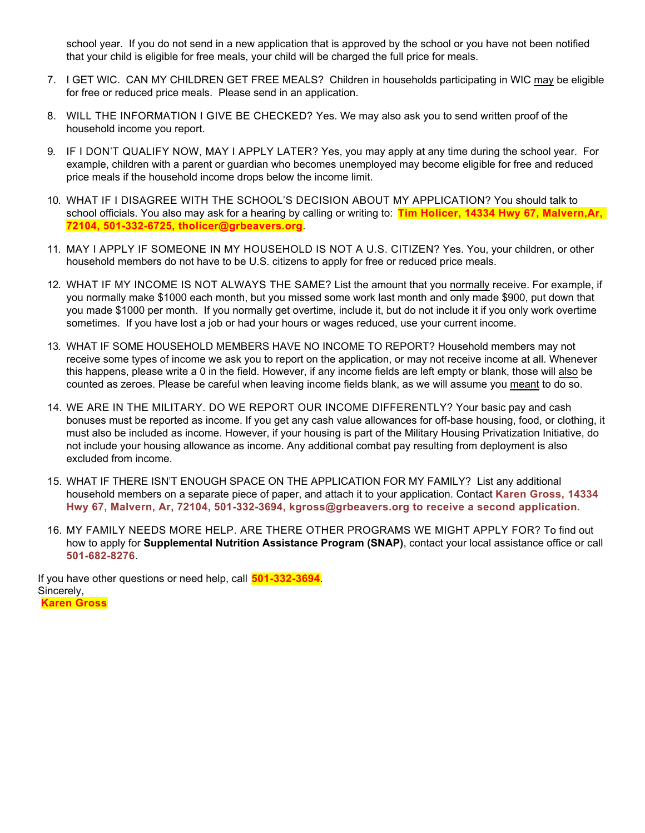school year. If you do not send in a new application that is approved by the school or you have not been notified that your child is eligible for free meals, your child will be charged the full price for meals.

- 7. I GET WIC. CAN MY CHILDREN GET FREE MEALS? Children in households participating in WIC may be eligible for free or reduced price meals. Please send in an application.
- 8. WILL THE INFORMATION I GIVE BE CHECKED? Yes. We may also ask you to send written proof of the household income you report.
- 9. IF I DON'T QUALIFY NOW, MAY I APPLY LATER? Yes, you may apply at any time during the school year. For example, children with a parent or guardian who becomes unemployed may become eligible for free and reduced price meals if the household income drops below the income limit.
- 10. WHAT IF I DISAGREE WITH THE SCHOOL'S DECISION ABOUT MY APPLICATION? You should talk to school officials. You also may ask for a hearing by calling or writing to: **Tim Holicer, 14334 Hwy 67, Malvern,Ar, 72104, 501-332-6725, tholicer@grbeavers.org***.*
- 11. MAY I APPLY IF SOMEONE IN MY HOUSEHOLD IS NOT A U.S. CITIZEN? Yes. You, your children, or other household members do not have to be U.S. citizens to apply for free or reduced price meals.
- 12. WHAT IF MY INCOME IS NOT ALWAYS THE SAME? List the amount that you normally receive. For example, if you normally make \$1000 each month, but you missed some work last month and only made \$900, put down that you made \$1000 per month. If you normally get overtime, include it, but do not include it if you only work overtime sometimes. If you have lost a job or had your hours or wages reduced, use your current income.
- 13. WHAT IF SOME HOUSEHOLD MEMBERS HAVE NO INCOME TO REPORT? Household members may not receive some types of income we ask you to report on the application, or may not receive income at all. Whenever this happens, please write a 0 in the field. However, if any income fields are left empty or blank, those will also be counted as zeroes. Please be careful when leaving income fields blank, as we will assume you meant to do so.
- 14. WE ARE IN THE MILITARY. DO WE REPORT OUR INCOME DIFFERENTLY? Your basic pay and cash bonuses must be reported as income. If you get any cash value allowances for off-base housing, food, or clothing, it must also be included as income. However, if your housing is part of the Military Housing Privatization Initiative, do not include your housing allowance as income. Any additional combat pay resulting from deployment is also excluded from income.
- 15. WHAT IF THERE ISN'T ENOUGH SPACE ON THE APPLICATION FOR MY FAMILY? List any additional household members on a separate piece of paper, and attach it to your application. Contact **Karen Gross, 14334 Hwy 67, Malvern, Ar, 72104, 501-332-3694, kgross@grbeavers.org to receive a second application.**
- 16. MY FAMILY NEEDS MORE HELP. ARE THERE OTHER PROGRAMS WE MIGHT APPLY FOR? To find out how to apply for **Supplemental Nutrition Assistance Program (SNAP)**, contact your local assistance office or call **501-682-8276**.

If you have other questions or need help, call **501-332-3694***.* Sincerely, **Karen Gross**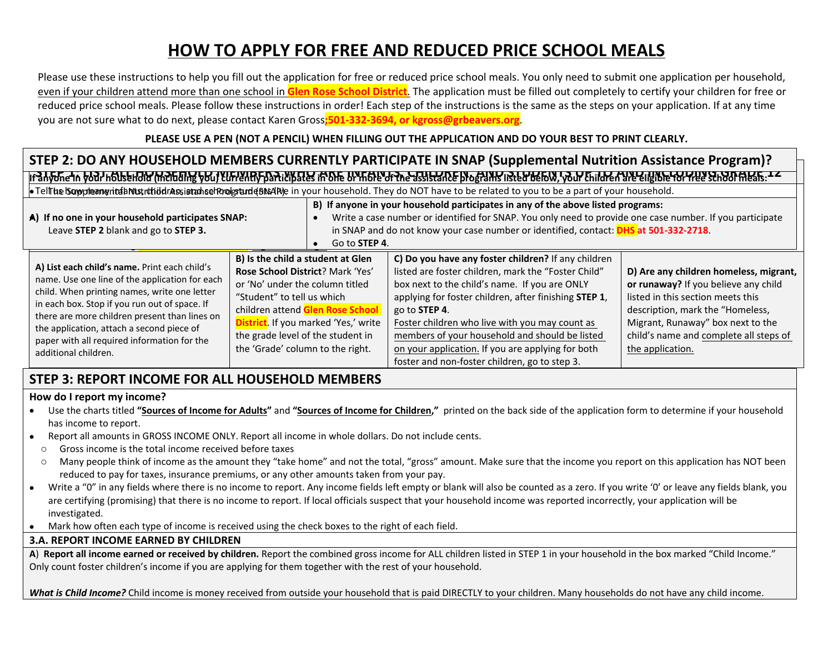# **HOW TO APPLY FOR FREE AND REDUCED PRICE SCHOOL MEALS**

Please use these instructions to help you fill out the application for free or reduced price school meals. You only need to submit one application per household, even if your children attend more than one school in **Glen Rose School District**. The application must be filled out completely to certify your children for free or reduced price school meals. Please follow these instructions in order! Each step of the instructions is the same as the steps on your application. If at any time you are not sure what to do next, please contact Karen Gross**;501-332-3694, or kgross@grbeavers.org**.

### **PLEASE USE A PEN (NOT A PENCIL) WHEN FILLING OUT THE APPLICATION AND DO YOUR BEST TO PRINT CLEARLY.**

### ៲៶*϶៶*ͶϲͳͲͺϷϙϗϯͱϘͿͳͼͳϧϘϻϘͿͼͳϻϨϔϾͳϸϤϴͲϘϔϘʹͳϘϏͲϹͰϘϺϫϯ϶ͷϚ϶ͷϚ϶ͷϒϧϤϘϠͶϘͳϘϗϤϓͲϘϏϘϯϤϤͶϔϤϤϘϙϨͲͶϘϙϴͲϷϘϔϘϔϘϔϘϔϘϔϘϔϘϔϾϔͿʹͰ϶ϭϙͶϾͱͿ **STEP 2: DO ANY HOUSEHOLD MEMBERS CURRENTLY PARTICIPATE IN SNAP (Supplemental Nutrition Assistance Program)?**

TellThe Supplemental Nustrition Assistance Program (BNAP)e in your household. They do NOT have to be related to you to be a part of your household.

| A) If no one in your household participates SNAP:<br>Leave STEP 2 blank and go to STEP 3.                                                                                                                                                                                                                                                                             | Go to STEP 4.                                                                                                                                                                                                                                                                                       | B) If anyone in your household participates in any of the above listed programs:<br>Write a case number or identified for SNAP. You only need to provide one case number. If you participate<br>in SNAP and do not know your case number or identified, contact: DHS at 501-332-2718.                                                                                                                                                                   |                                                                                                                                                                                                                                                            |
|-----------------------------------------------------------------------------------------------------------------------------------------------------------------------------------------------------------------------------------------------------------------------------------------------------------------------------------------------------------------------|-----------------------------------------------------------------------------------------------------------------------------------------------------------------------------------------------------------------------------------------------------------------------------------------------------|---------------------------------------------------------------------------------------------------------------------------------------------------------------------------------------------------------------------------------------------------------------------------------------------------------------------------------------------------------------------------------------------------------------------------------------------------------|------------------------------------------------------------------------------------------------------------------------------------------------------------------------------------------------------------------------------------------------------------|
| A) List each child's name. Print each child's<br>name. Use one line of the application for each<br>child. When printing names, write one letter<br>in each box. Stop if you run out of space. If<br>there are more children present than lines on<br>the application, attach a second piece of<br>paper with all required information for the<br>additional children. | B) Is the child a student at Glen<br>Rose School District? Mark 'Yes'<br>or 'No' under the column titled<br>"Student" to tell us which<br>children attend Glen Rose School<br><b>District</b> . If you marked 'Yes,' write<br>the grade level of the student in<br>the 'Grade' column to the right. | C) Do you have any foster children? If any children<br>listed are foster children, mark the "Foster Child"<br>box next to the child's name. If you are ONLY<br>applying for foster children, after finishing STEP 1,<br>go to <b>STEP 4</b> .<br>Foster children who live with you may count as<br>members of your household and should be listed<br>on your application. If you are applying for both<br>foster and non-foster children, go to step 3. | D) Are any children homeless, migrant,<br>or runaway? If you believe any child<br>listed in this section meets this<br>description, mark the "Homeless,<br>Migrant, Runaway" box next to the<br>child's name and complete all steps of<br>the application. |

## **STEP 3: REPORT INCOME FOR ALL HOUSEHOLD MEMBERS**

#### **How do I report my income?**

- Use the charts titled **"Sources of Income for Adults"** and **"Sources of Income for Children,"** printed on the back side of the application form to determine if your household has income to report.
- Report all amounts in GROSS INCOME ONLY. Report all income in whole dollars. Do not include cents.
	- o Gross income is the total income received before taxes
	- o Many people think of income as the amount they "take home" and not the total, "gross" amount. Make sure that the income you report on this application has NOT been reduced to pay for taxes, insurance premiums, or any other amounts taken from your pay.
- Write a "0" in any fields where there is no income to report. Any income fields left empty or blank will also be counted as a zero. If you write '0' or leave any fields blank, you are certifying (promising) that there is no income to report. If local officials suspect that your household income was reported incorrectly, your application will be investigated.
- Mark how often each type of income is received using the check boxes to the right of each field.

#### **3.A. REPORT INCOME EARNED BY CHILDREN**

**A**) **Report all income earned or received by children.** Report the combined gross income for ALL children listed in STEP 1 in your household in the box marked "Child Income." Only count foster children's income if you are applying for them together with the rest of your household.

What is Child Income? Child income is money received from outside your household that is paid DIRECTLY to your children. Many households do not have any child income.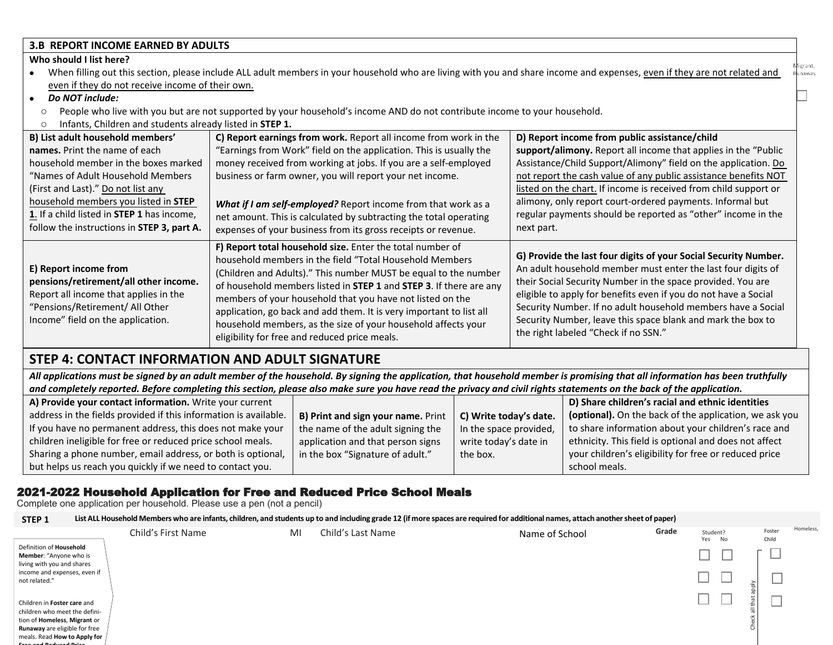#### **3.B REPORT INCOME EARNED BY ADULTS**

#### **Who should I list here?**

- When filling out this section, please include ALL adult members in your household who are living with you and share income and expenses, even if they are not related and shaway even if they do not receive income of their own.
- *Do NOT include:* 
	- o People who live with you but are not supported by your household's income AND do not contribute income to your household.
- o Infants, Children and students already listed in **STEP 1.**

| B) List adult household members'                                                                                                                                                | C) Report earnings from work. Report all income from work in the                                                                                                                                                                                                                                                                                                                                                                                                                                                    | D) Report income from public assistance/child                                                                                                                                                                                                                                                                                                                                                                                            |
|---------------------------------------------------------------------------------------------------------------------------------------------------------------------------------|---------------------------------------------------------------------------------------------------------------------------------------------------------------------------------------------------------------------------------------------------------------------------------------------------------------------------------------------------------------------------------------------------------------------------------------------------------------------------------------------------------------------|------------------------------------------------------------------------------------------------------------------------------------------------------------------------------------------------------------------------------------------------------------------------------------------------------------------------------------------------------------------------------------------------------------------------------------------|
| names. Print the name of each                                                                                                                                                   | "Earnings from Work" field on the application. This is usually the                                                                                                                                                                                                                                                                                                                                                                                                                                                  | support/alimony. Report all income that applies in the "Public"                                                                                                                                                                                                                                                                                                                                                                          |
| household member in the boxes marked                                                                                                                                            | money received from working at jobs. If you are a self-employed                                                                                                                                                                                                                                                                                                                                                                                                                                                     | Assistance/Child Support/Alimony" field on the application. Do                                                                                                                                                                                                                                                                                                                                                                           |
| "Names of Adult Household Members"                                                                                                                                              | business or farm owner, you will report your net income.                                                                                                                                                                                                                                                                                                                                                                                                                                                            | not report the cash value of any public assistance benefits NOT                                                                                                                                                                                                                                                                                                                                                                          |
| (First and Last)." Do not list any                                                                                                                                              |                                                                                                                                                                                                                                                                                                                                                                                                                                                                                                                     | listed on the chart. If income is received from child support or                                                                                                                                                                                                                                                                                                                                                                         |
| household members you listed in STEP                                                                                                                                            | What if I am self-employed? Report income from that work as a                                                                                                                                                                                                                                                                                                                                                                                                                                                       | alimony, only report court-ordered payments. Informal but                                                                                                                                                                                                                                                                                                                                                                                |
| 1. If a child listed in STEP 1 has income,                                                                                                                                      | net amount. This is calculated by subtracting the total operating                                                                                                                                                                                                                                                                                                                                                                                                                                                   | regular payments should be reported as "other" income in the                                                                                                                                                                                                                                                                                                                                                                             |
| follow the instructions in STEP 3, part A.                                                                                                                                      | expenses of your business from its gross receipts or revenue.                                                                                                                                                                                                                                                                                                                                                                                                                                                       | next part.                                                                                                                                                                                                                                                                                                                                                                                                                               |
| E) Report income from<br>pensions/retirement/all other income.<br>Report all income that applies in the<br>"Pensions/Retirement/ All Other<br>Income" field on the application. | F) Report total household size. Enter the total number of<br>household members in the field "Total Household Members<br>(Children and Adults)." This number MUST be equal to the number<br>of household members listed in STEP 1 and STEP 3. If there are any<br>members of your household that you have not listed on the<br>application, go back and add them. It is very important to list all<br>household members, as the size of your household affects your<br>eligibility for free and reduced price meals. | G) Provide the last four digits of your Social Security Number.<br>An adult household member must enter the last four digits of<br>their Social Security Number in the space provided. You are<br>eligible to apply for benefits even if you do not have a Social<br>Security Number. If no adult household members have a Social<br>Security Number, leave this space blank and mark the box to<br>the right labeled "Check if no SSN." |

### **STEP 4: CONTACT INFORMATION AND ADULT SIGNATURE**

*All applications must be signed by an adult member of the household. By signing the application, that household member is promising that all information has been truthfully and completely reported. Before completing this section, please also make sure you have read the privacy and civil rights statements on the back of the application.*

| A) Provide your contact information. Write your current          |                                    |                        | D) Share children's racial and ethnic identities       |  |
|------------------------------------------------------------------|------------------------------------|------------------------|--------------------------------------------------------|--|
| address in the fields provided if this information is available. | B) Print and sign your name. Print | C) Write today's date. | (optional). On the back of the application, we ask you |  |
| If you have no permanent address, this does not make your        | the name of the adult signing the  | In the space provided, | to share information about your children's race and    |  |
| children ineligible for free or reduced price school meals.      | application and that person signs  | write today's date in  | ethnicity. This field is optional and does not affect  |  |
| Sharing a phone number, email address, or both is optional,      | in the box "Signature of adult."   | the box.               | your children's eligibility for free or reduced price  |  |
| but helps us reach you quickly if we need to contact you.        |                                    |                        | school meals.                                          |  |

#### 2021-2022 Household Application for Free and Reduced Price School Meals

Complete one application per household. Please use a pen (not a pencil)

| STEP <sub>1</sub>                                                                                                                                                     |                    |    | List ALL Household Members who are infants, children, and students up to and including grade 12 (if more spaces are required for additional names, attach another sheet of paper) |                |       |                    |                 |           |
|-----------------------------------------------------------------------------------------------------------------------------------------------------------------------|--------------------|----|-----------------------------------------------------------------------------------------------------------------------------------------------------------------------------------|----------------|-------|--------------------|-----------------|-----------|
|                                                                                                                                                                       | Child's First Name | MI | Child's Last Name                                                                                                                                                                 | Name of School | Grade | Student?<br>Yes No | Foster<br>Child | Homeless, |
| Definition of Household<br>Member: "Anyone who is<br>living with you and shares                                                                                       |                    |    |                                                                                                                                                                                   |                |       |                    | ー               |           |
| income and expenses, even if<br>not related."                                                                                                                         |                    |    |                                                                                                                                                                                   |                |       | ┙                  |                 |           |
| Children in Foster care and<br>children who meet the defini-<br>tion of <b>Homeless</b> , Migrant or<br>Runaway are eligible for free<br>meals. Read How to Apply for |                    |    |                                                                                                                                                                                   |                |       |                    | _               |           |
| ومشرف للمحتبان وقاليس وجبرى                                                                                                                                           |                    |    |                                                                                                                                                                                   |                |       |                    |                 |           |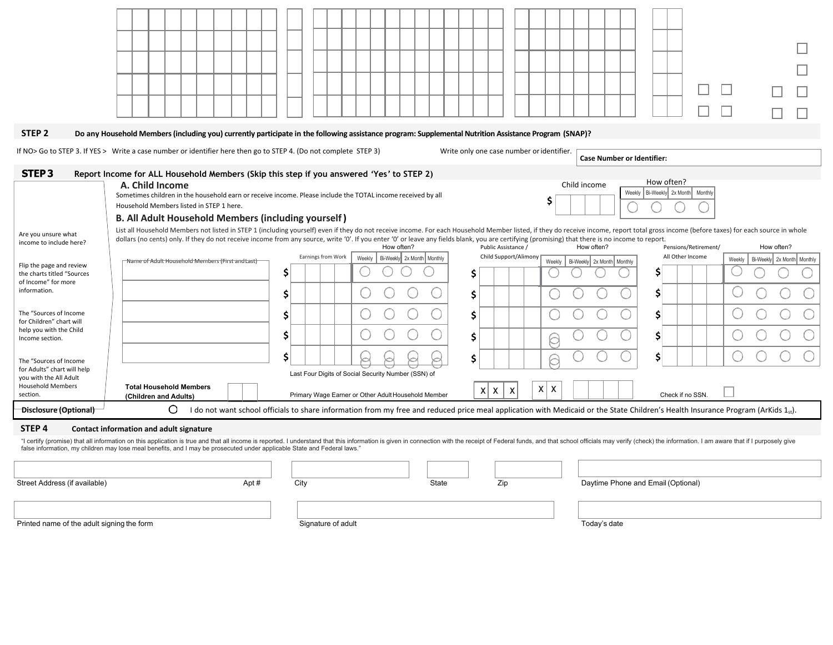| STEP <sub>2</sub><br>Do any Household Members (including you) currently participate in the following assistance program: Supplemental Nutrition Assistance Program (SNAP)?<br>If NO> Go to STEP 3. If YES > Write a case number or identifier here then go to STEP 4. (Do not complete STEP 3)<br>Write only one case number or identifier.<br><b>Case Number or Identifier:</b><br>STEP <sub>3</sub><br>Report Income for ALL Household Members (Skip this step if you answered 'Yes' to STEP 2)<br>How often?<br>Child income<br>A. Child Income<br>Weekly   Bi-Weekly   2x Month   Monthly<br>Sometimes children in the household earn or receive income. Please include the TOTAL income received by all<br>\$<br>Household Members listed in STEP 1 here.<br><b>B. All Adult Household Members (including yourself)</b><br>List all Household Members not listed in STEP 1 (including yourself) even if they do not receive income. For each Household Member listed, if they do receive income, report total gross income (before taxes) for each source<br>Are you unsure what<br>dollars (no cents) only. If they do not receive income from any source, write '0'. If you enter '0' or leave any fields blank, you are certifying (promising) that there is no income to report.<br>income to include here?<br>How often?<br>How often?<br>Public Assistance /<br>How often?<br>Pensions/Retirement/<br>Child Support/Alimony<br>All Other Income<br>Earnings from Work<br>Bi-Weekly 2x Month Monthly<br>Weekly<br>Weekly<br>Bi-Weekly 2x Month Monthly<br>Name of Adult Household Members (First and Last)<br>Weekly<br>Flip the page and review<br>S<br>Ś<br>the charts titled "Sources<br>of Income" for more<br>information.<br>Ś<br>Ś<br>The "Sources of Income<br>Ś<br>Ś<br>for Children" chart will<br>help you with the Child<br>Ś<br>Ś<br>\$<br>Income section.<br>Ś<br>Ś<br>The "Sources of Income<br>for Adults" chart will help<br>Last Four Digits of Social Security Number (SSN) of<br>you with the All Adult<br><b>Household Members</b><br><b>Total Household Members</b><br>$X \mid X$<br>$x \mid x$<br>$\boldsymbol{\mathsf{X}}$<br>section.<br>Check if no SSN.<br>Primary Wage Earner or Other Adult Household Member<br>(Children and Adults)<br>O<br>Disclosure (Optional)<br>I do not want school officials to share information from my free and reduced price meal application with Medicaid or the State Children's Health Insurance Program (ArKids 1 <sub>st</sub> ).<br>STEP <sub>4</sub><br>Contact information and adult signature<br>"I certify (promise) that all information on this application is true and that all income is reported. I understand that this information is given in connection with the receipt of Federal funds, and that school officials<br>false information, my children may lose meal benefits, and I may be prosecuted under applicable State and Federal laws." |  |  |                            |
|------------------------------------------------------------------------------------------------------------------------------------------------------------------------------------------------------------------------------------------------------------------------------------------------------------------------------------------------------------------------------------------------------------------------------------------------------------------------------------------------------------------------------------------------------------------------------------------------------------------------------------------------------------------------------------------------------------------------------------------------------------------------------------------------------------------------------------------------------------------------------------------------------------------------------------------------------------------------------------------------------------------------------------------------------------------------------------------------------------------------------------------------------------------------------------------------------------------------------------------------------------------------------------------------------------------------------------------------------------------------------------------------------------------------------------------------------------------------------------------------------------------------------------------------------------------------------------------------------------------------------------------------------------------------------------------------------------------------------------------------------------------------------------------------------------------------------------------------------------------------------------------------------------------------------------------------------------------------------------------------------------------------------------------------------------------------------------------------------------------------------------------------------------------------------------------------------------------------------------------------------------------------------------------------------------------------------------------------------------------------------------------------------------------------------------------------------------------------------------------------------------------------------------------------------------------------------------------------------------------------------------------------------------------------------------------------------------------------------------------------------------------------------------------------------------------------------------------------------------------------------------------------------------------------------------------|--|--|----------------------------|
|                                                                                                                                                                                                                                                                                                                                                                                                                                                                                                                                                                                                                                                                                                                                                                                                                                                                                                                                                                                                                                                                                                                                                                                                                                                                                                                                                                                                                                                                                                                                                                                                                                                                                                                                                                                                                                                                                                                                                                                                                                                                                                                                                                                                                                                                                                                                                                                                                                                                                                                                                                                                                                                                                                                                                                                                                                                                                                                                          |  |  |                            |
|                                                                                                                                                                                                                                                                                                                                                                                                                                                                                                                                                                                                                                                                                                                                                                                                                                                                                                                                                                                                                                                                                                                                                                                                                                                                                                                                                                                                                                                                                                                                                                                                                                                                                                                                                                                                                                                                                                                                                                                                                                                                                                                                                                                                                                                                                                                                                                                                                                                                                                                                                                                                                                                                                                                                                                                                                                                                                                                                          |  |  |                            |
|                                                                                                                                                                                                                                                                                                                                                                                                                                                                                                                                                                                                                                                                                                                                                                                                                                                                                                                                                                                                                                                                                                                                                                                                                                                                                                                                                                                                                                                                                                                                                                                                                                                                                                                                                                                                                                                                                                                                                                                                                                                                                                                                                                                                                                                                                                                                                                                                                                                                                                                                                                                                                                                                                                                                                                                                                                                                                                                                          |  |  |                            |
|                                                                                                                                                                                                                                                                                                                                                                                                                                                                                                                                                                                                                                                                                                                                                                                                                                                                                                                                                                                                                                                                                                                                                                                                                                                                                                                                                                                                                                                                                                                                                                                                                                                                                                                                                                                                                                                                                                                                                                                                                                                                                                                                                                                                                                                                                                                                                                                                                                                                                                                                                                                                                                                                                                                                                                                                                                                                                                                                          |  |  |                            |
|                                                                                                                                                                                                                                                                                                                                                                                                                                                                                                                                                                                                                                                                                                                                                                                                                                                                                                                                                                                                                                                                                                                                                                                                                                                                                                                                                                                                                                                                                                                                                                                                                                                                                                                                                                                                                                                                                                                                                                                                                                                                                                                                                                                                                                                                                                                                                                                                                                                                                                                                                                                                                                                                                                                                                                                                                                                                                                                                          |  |  |                            |
|                                                                                                                                                                                                                                                                                                                                                                                                                                                                                                                                                                                                                                                                                                                                                                                                                                                                                                                                                                                                                                                                                                                                                                                                                                                                                                                                                                                                                                                                                                                                                                                                                                                                                                                                                                                                                                                                                                                                                                                                                                                                                                                                                                                                                                                                                                                                                                                                                                                                                                                                                                                                                                                                                                                                                                                                                                                                                                                                          |  |  |                            |
|                                                                                                                                                                                                                                                                                                                                                                                                                                                                                                                                                                                                                                                                                                                                                                                                                                                                                                                                                                                                                                                                                                                                                                                                                                                                                                                                                                                                                                                                                                                                                                                                                                                                                                                                                                                                                                                                                                                                                                                                                                                                                                                                                                                                                                                                                                                                                                                                                                                                                                                                                                                                                                                                                                                                                                                                                                                                                                                                          |  |  |                            |
|                                                                                                                                                                                                                                                                                                                                                                                                                                                                                                                                                                                                                                                                                                                                                                                                                                                                                                                                                                                                                                                                                                                                                                                                                                                                                                                                                                                                                                                                                                                                                                                                                                                                                                                                                                                                                                                                                                                                                                                                                                                                                                                                                                                                                                                                                                                                                                                                                                                                                                                                                                                                                                                                                                                                                                                                                                                                                                                                          |  |  |                            |
|                                                                                                                                                                                                                                                                                                                                                                                                                                                                                                                                                                                                                                                                                                                                                                                                                                                                                                                                                                                                                                                                                                                                                                                                                                                                                                                                                                                                                                                                                                                                                                                                                                                                                                                                                                                                                                                                                                                                                                                                                                                                                                                                                                                                                                                                                                                                                                                                                                                                                                                                                                                                                                                                                                                                                                                                                                                                                                                                          |  |  |                            |
|                                                                                                                                                                                                                                                                                                                                                                                                                                                                                                                                                                                                                                                                                                                                                                                                                                                                                                                                                                                                                                                                                                                                                                                                                                                                                                                                                                                                                                                                                                                                                                                                                                                                                                                                                                                                                                                                                                                                                                                                                                                                                                                                                                                                                                                                                                                                                                                                                                                                                                                                                                                                                                                                                                                                                                                                                                                                                                                                          |  |  | Bi-Weekly 2x Month Monthly |
|                                                                                                                                                                                                                                                                                                                                                                                                                                                                                                                                                                                                                                                                                                                                                                                                                                                                                                                                                                                                                                                                                                                                                                                                                                                                                                                                                                                                                                                                                                                                                                                                                                                                                                                                                                                                                                                                                                                                                                                                                                                                                                                                                                                                                                                                                                                                                                                                                                                                                                                                                                                                                                                                                                                                                                                                                                                                                                                                          |  |  |                            |
|                                                                                                                                                                                                                                                                                                                                                                                                                                                                                                                                                                                                                                                                                                                                                                                                                                                                                                                                                                                                                                                                                                                                                                                                                                                                                                                                                                                                                                                                                                                                                                                                                                                                                                                                                                                                                                                                                                                                                                                                                                                                                                                                                                                                                                                                                                                                                                                                                                                                                                                                                                                                                                                                                                                                                                                                                                                                                                                                          |  |  |                            |
|                                                                                                                                                                                                                                                                                                                                                                                                                                                                                                                                                                                                                                                                                                                                                                                                                                                                                                                                                                                                                                                                                                                                                                                                                                                                                                                                                                                                                                                                                                                                                                                                                                                                                                                                                                                                                                                                                                                                                                                                                                                                                                                                                                                                                                                                                                                                                                                                                                                                                                                                                                                                                                                                                                                                                                                                                                                                                                                                          |  |  |                            |
|                                                                                                                                                                                                                                                                                                                                                                                                                                                                                                                                                                                                                                                                                                                                                                                                                                                                                                                                                                                                                                                                                                                                                                                                                                                                                                                                                                                                                                                                                                                                                                                                                                                                                                                                                                                                                                                                                                                                                                                                                                                                                                                                                                                                                                                                                                                                                                                                                                                                                                                                                                                                                                                                                                                                                                                                                                                                                                                                          |  |  |                            |
|                                                                                                                                                                                                                                                                                                                                                                                                                                                                                                                                                                                                                                                                                                                                                                                                                                                                                                                                                                                                                                                                                                                                                                                                                                                                                                                                                                                                                                                                                                                                                                                                                                                                                                                                                                                                                                                                                                                                                                                                                                                                                                                                                                                                                                                                                                                                                                                                                                                                                                                                                                                                                                                                                                                                                                                                                                                                                                                                          |  |  |                            |
|                                                                                                                                                                                                                                                                                                                                                                                                                                                                                                                                                                                                                                                                                                                                                                                                                                                                                                                                                                                                                                                                                                                                                                                                                                                                                                                                                                                                                                                                                                                                                                                                                                                                                                                                                                                                                                                                                                                                                                                                                                                                                                                                                                                                                                                                                                                                                                                                                                                                                                                                                                                                                                                                                                                                                                                                                                                                                                                                          |  |  |                            |
|                                                                                                                                                                                                                                                                                                                                                                                                                                                                                                                                                                                                                                                                                                                                                                                                                                                                                                                                                                                                                                                                                                                                                                                                                                                                                                                                                                                                                                                                                                                                                                                                                                                                                                                                                                                                                                                                                                                                                                                                                                                                                                                                                                                                                                                                                                                                                                                                                                                                                                                                                                                                                                                                                                                                                                                                                                                                                                                                          |  |  |                            |
|                                                                                                                                                                                                                                                                                                                                                                                                                                                                                                                                                                                                                                                                                                                                                                                                                                                                                                                                                                                                                                                                                                                                                                                                                                                                                                                                                                                                                                                                                                                                                                                                                                                                                                                                                                                                                                                                                                                                                                                                                                                                                                                                                                                                                                                                                                                                                                                                                                                                                                                                                                                                                                                                                                                                                                                                                                                                                                                                          |  |  |                            |
| Zip<br>Street Address (if available)<br>Apt#<br>City<br>State<br>Daytime Phone and Email (Optional)                                                                                                                                                                                                                                                                                                                                                                                                                                                                                                                                                                                                                                                                                                                                                                                                                                                                                                                                                                                                                                                                                                                                                                                                                                                                                                                                                                                                                                                                                                                                                                                                                                                                                                                                                                                                                                                                                                                                                                                                                                                                                                                                                                                                                                                                                                                                                                                                                                                                                                                                                                                                                                                                                                                                                                                                                                      |  |  |                            |
| Printed name of the adult signing the form<br>Signature of adult<br>Today's date                                                                                                                                                                                                                                                                                                                                                                                                                                                                                                                                                                                                                                                                                                                                                                                                                                                                                                                                                                                                                                                                                                                                                                                                                                                                                                                                                                                                                                                                                                                                                                                                                                                                                                                                                                                                                                                                                                                                                                                                                                                                                                                                                                                                                                                                                                                                                                                                                                                                                                                                                                                                                                                                                                                                                                                                                                                         |  |  |                            |